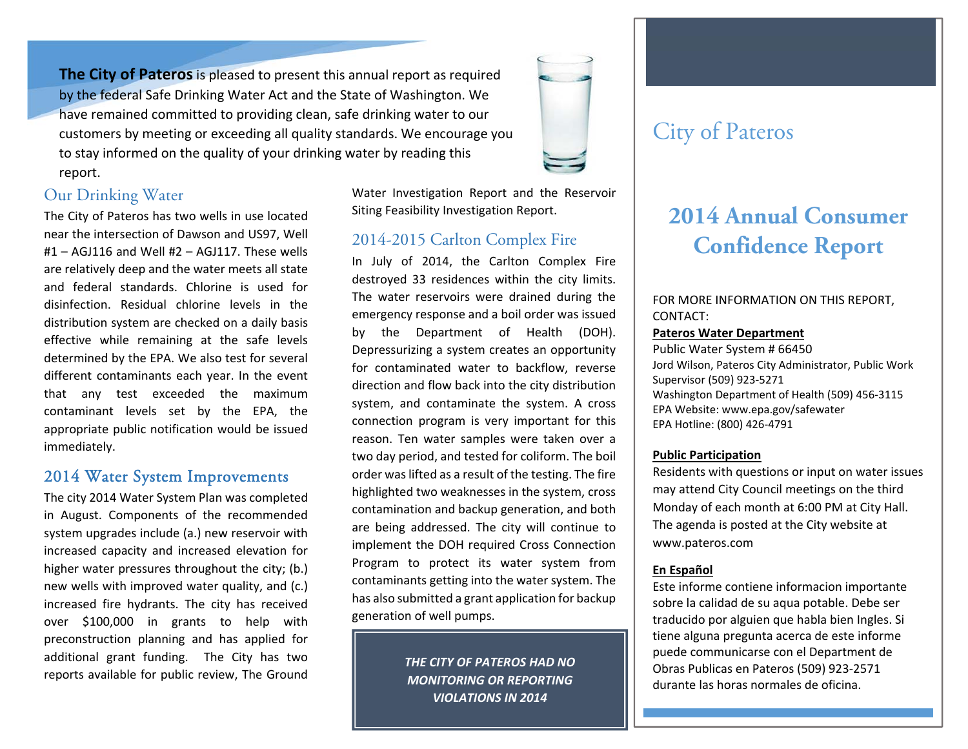**The City of Pateros**is pleased to present this annual report as required by the federal Safe Drinking Water Act and the State of Washington. We have remained committed to providing clean, safe drinking water to our customers by meeting or exceeding all quality standards. We encourage you to stay informed on the quality of your drinking water by reading this re port.

# Our Drinking Water

The City of Pateros has two wells in use located near the intersection of Dawson and US97, Well #1– AGJ116 and Well #2 – AGJ117. These wells are relatively deep and the water meets all state and federal standards. Chlorine is used for disinfection. Residual chlorine levels in the distribution system are checked on <sup>a</sup> daily basis effective while remaining at the safe levels determined by the EPA. We also test for several different contaminants each year. In the event that any test exceeded the maximum contaminant levels set by the EPA, the appropriate public notification would be issued immediately.

## 2014 Water System Improvements

The city 2014 Water System Plan was completed in August. Components of the recommended system upgrades include (a.) new reservoir with increased capacity and increased elevation for higher water pressures throughout the city; (b.) new wells with improved water quality, and (c.) increased fire hydrants. The city has received over \$100,000 in grants to help with preconstruction planning and has applied for additional grant funding. The City has two reports available for public review, The Ground

Water Investigation Report and the Reservoir Siting Feasibility Investigation Report.

# 2014-2015 Carlton Complex Fire

In July of 2014, the Carlton Complex Fire destroyed 33 residences within the city limits. The water reservoirs were drained during the emergency response and <sup>a</sup> boil order was issued by the Department of Health (DOH). Depressurizing <sup>a</sup> system creates an opportunity for contaminated water to backflow, reverse direction and flow back into the city distribution system, and contaminate the system. A cross connection program is very important for this reason. Ten water samples were taken over <sup>a</sup> two day period, and tested for coliform. The boil order was lifted as a result of the testing. The fire highlighted two weaknesses in the system, cross contamination and backup generation, and both are being addressed. The city will continue to implement the DOH required Cross Connection Program to protect its water system from contaminants getting into the water system. The has also submitted <sup>a</sup> grant application for backup generation of well pumps.

> *THE CITY OF PATEROS HAD NOMONITORING OR REPORTING VIOLATIONS IN 2014*

# City of Pateros

# **2014 Annual Consumer Confidence Report**

### FOR MORE INFORMATION ON THIS REPORT, CONTACT:

#### **Pateros Water Department**

Public Water System # 66450Jord Wilson, Pateros City Administrator, Public Work Supervisor (509) 923‐5271 Washington Department of Health (509) 456‐3115 EPA Website: www.epa.gov/safewater EPA Hotline: (800) 426‐4791

#### **Public Participation**

Residents with questions or input on water issues may attend City Council meetings on the third Monday of each month at 6:00 PM at City Hall. The agenda is posted at the City website at www.pateros.com

#### **En Español**

Este informe contiene informacion importante sobre la calidad de su aqua potable. Debe ser traducido por alguien que habla bien Ingles. Si tiene alguna pregunta acerca de este informe puede communicarse con el Department de Obras Publicas en Pateros (509) 923‐2571 durante las horas normales de oficina.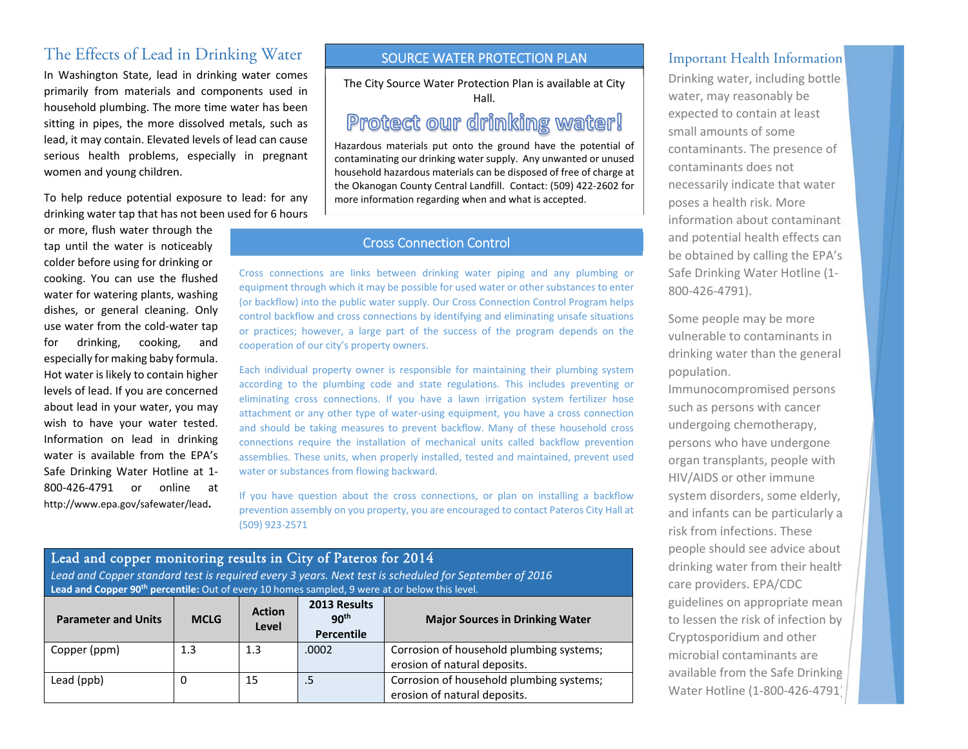# The Effects of Lead in Drinking Water

In Washington State, lead in drinking water comes primarily from materials and components used in household plumbing. The more time water has been sitting in pipes, the more dissolved metals, such as lead, it may contain. Elevated levels of lead can cause serious health problems, especially in pregnant women and young children.

To help reduce potential exposure to lead: for any drinking water tap that has not been used for 6 hours

or more, flush water through the tap until the water is noticeably colder before using for drinking or cooking. You can use the flushed water for watering plants, washing dishes, or general cleaning. Only use water from the cold‐water tap for drinking, cooking, and especially for making baby formula. Hot water is likely to contain higher levels of lead. If you are concerned about lead in your water, you may wish to have your water tested. Information on lead in drinking water is available from the EPA's Safe Drinking Water Hotline at 1‐ 800‐426‐4791 or online at http://www.epa.gov/safewater/lead**.**

#### SOURCE WATER PROTECTION PLAN

The City Source Water Protection Plan is available at City Hall.

# Protect our drinking water!

Hazardous materials put onto the ground have the potential of contaminating our drinking water supply. Any unwanted or unused household hazardous materials can be disposed of free of charge at the Okanogan County Central Landfill. Contact: (509) 422‐2602 for more information regarding when and what is accepted.

#### Cross Connection Control

Cross connections are links between drinking water piping and any plumbing or equipment through which it may be possible for used water or other substances to enter (or backflow) into the public water supply. Our Cross Connection Control Program helps control backflow and cross connections by identifying and eliminating unsafe situations or practices; however, <sup>a</sup> large part of the success of the program depends on the cooperation of our city's property owners.

Each individual property owner is responsible for maintaining their plumbing system according to the plumbing code and state regulations. This includes preventing or eliminating cross connections. If you have <sup>a</sup> lawn irrigation system fertilizer hose attachment or any other type of water‐using equipment, you have <sup>a</sup> cross connection and should be taking measures to prevent backflow. Many of these household cross connections require the installation of mechanical units called backflow prevention assemblies. These units, when properly installed, tested and maintained, prevent used water or substances from flowing backward.

If you have question about the cross connections, or plan on installing <sup>a</sup> backflow prevention assembly on you property, you are encouraged to contact Pateros City Hall at (509) 923‐2571

### Lead and copper monitoring results in City of Pateros for 2014

Lead and Copper standard test is required every 3 years. Next test is scheduled for September of 2016 **Lead and Copper <sup>90</sup>th percentile:** Out of every <sup>10</sup> homes sampled, <sup>9</sup> were at or below this level.

| <b>Parameter and Units</b> | <b>MCLG</b> | <b>Action</b><br>Level | 2013 Results<br>90 <sup>th</sup><br>Percentile | <b>Major Sources in Drinking Water</b>                                   |  |
|----------------------------|-------------|------------------------|------------------------------------------------|--------------------------------------------------------------------------|--|
| Copper (ppm)               | 1.3         | 1.3                    | .0002                                          | Corrosion of household plumbing systems;<br>erosion of natural deposits. |  |
| Lead (ppb)                 | 0           | 15                     | $.5\,$                                         | Corrosion of household plumbing systems;<br>erosion of natural deposits. |  |

#### Important Health Information

Drinking water, including bottle water, may reasonably be expected to contain at least small amounts of somecontaminants. The presence of contaminants does not necessarily indicate that water poses <sup>a</sup> health risk. More information about contaminants and potential health effects can be obtained by calling the EPA's Safe Drinking Water Hotline (1‐ 800‐426‐4791).

Some people may be more vulnerable to contaminants in drinking water than the general population.

Immunocompromised persons such as persons with cancer undergoing chemotherapy, persons who have undergone organ transplants, people with HIV/AIDS or other immune system disorders, some elderly, and infants can be particularly at risk from infections. These people should see advice about drinking water from their health care providers. EPA/CDC guidelines on appropriate mean to lessen the risk of infection by Cryptosporidium and other microbial contaminants areavailable from the Safe Drinking Water Hotline (1‐800‐426‐4791).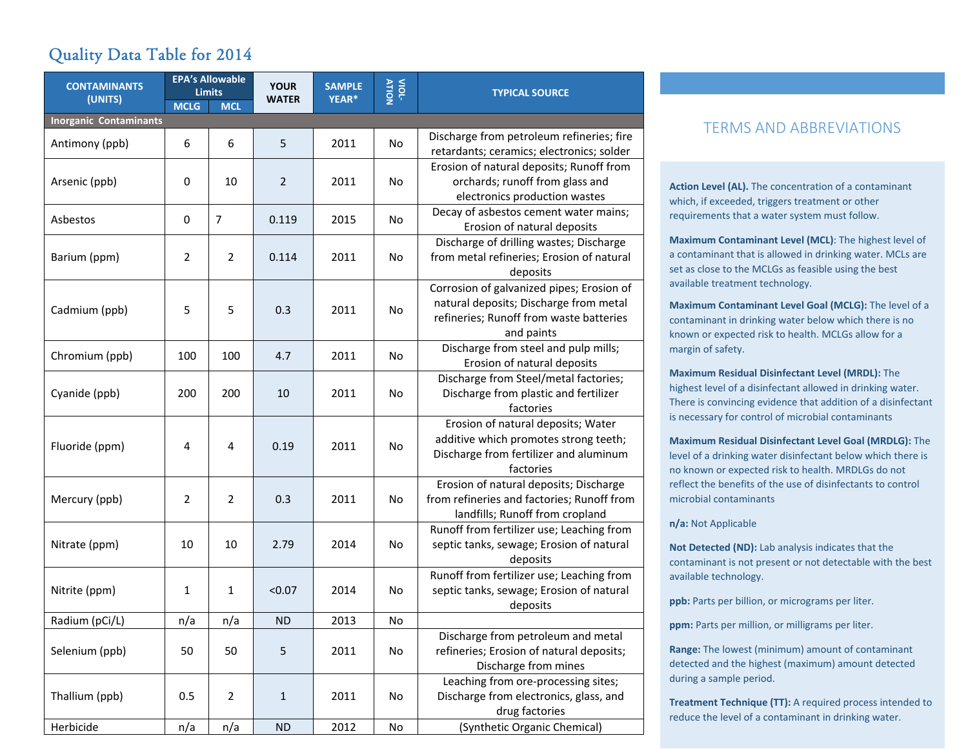# Quality Data Table for 2014

| <b>CONTAMINANTS</b>           |                  | <b>EPA's Allowable</b><br><b>Limits</b> | <b>YOUR</b>    | <b>SAMPLE</b> | VIOL-     | <b>TYPICAL SOURCE</b>                                                                                                                        |
|-------------------------------|------------------|-----------------------------------------|----------------|---------------|-----------|----------------------------------------------------------------------------------------------------------------------------------------------|
| (UNITS)                       | <b>MCLG</b>      | <b>MCL</b>                              | <b>WATER</b>   | YEAR*         |           |                                                                                                                                              |
| <b>Inorganic Contaminants</b> |                  |                                         |                |               |           |                                                                                                                                              |
| Antimony (ppb)                | 6                | 6                                       | 5              | 2011          | No        | Discharge from petroleum refineries; fire<br>retardants; ceramics; electronics; solder                                                       |
| Arsenic (ppb)                 | 0                | 10                                      | $\overline{2}$ | 2011          | No        | Erosion of natural deposits; Runoff from<br>orchards; runoff from glass and<br>electronics production wastes                                 |
| Asbestos                      | $\boldsymbol{0}$ | $\overline{7}$                          | 0.119          | 2015          | No        | Decay of asbestos cement water mains;<br>Erosion of natural deposits                                                                         |
| Barium (ppm)                  | 2                | $\overline{2}$                          | 0.114          | 2011          | No        | Discharge of drilling wastes; Discharge<br>from metal refineries; Erosion of natural<br>deposits                                             |
| Cadmium (ppb)                 | 5                | 5                                       | 0.3            | 2011          | No        | Corrosion of galvanized pipes; Erosion of<br>natural deposits; Discharge from metal<br>refineries; Runoff from waste batteries<br>and paints |
| Chromium (ppb)                | 100              | 100                                     | 4.7            | 2011          | No        | Discharge from steel and pulp mills;<br>Erosion of natural deposits                                                                          |
| Cyanide (ppb)                 | 200              | 200                                     | 10             | 2011          | No        | Discharge from Steel/metal factories;<br>Discharge from plastic and fertilizer<br>factories                                                  |
| Fluoride (ppm)                | 4                | $\overline{4}$                          | 0.19           | 2011          | <b>No</b> | Erosion of natural deposits; Water<br>additive which promotes strong teeth;<br>Discharge from fertilizer and aluminum<br>factories           |
| Mercury (ppb)                 | 2                | $\overline{2}$                          | 0.3            | 2011          | <b>No</b> | Erosion of natural deposits; Discharge<br>from refineries and factories; Runoff from<br>landfills; Runoff from cropland                      |
| Nitrate (ppm)                 | 10               | 10                                      | 2.79           | 2014          | No        | Runoff from fertilizer use; Leaching from<br>septic tanks, sewage; Erosion of natural<br>deposits                                            |
| Nitrite (ppm)                 | 1                | $\mathbf{1}$                            | < 0.07         | 2014          | No        | Runoff from fertilizer use; Leaching from<br>septic tanks, sewage; Erosion of natural<br>deposits                                            |
| Radium (pCi/L)                | n/a              | n/a                                     | <b>ND</b>      | 2013          | No        |                                                                                                                                              |
| Selenium (ppb)                | 50               | 50                                      | 5              | 2011          | No        | Discharge from petroleum and metal<br>refineries; Erosion of natural deposits;<br>Discharge from mines                                       |
| Thallium (ppb)                | 0.5              | $\overline{2}$                          | $\mathbf{1}$   | 2011          | No        | Leaching from ore-processing sites;<br>Discharge from electronics, glass, and<br>drug factories                                              |
| Herbicide                     | n/a              | n/a                                     | <b>ND</b>      | 2012          | No        | (Synthetic Organic Chemical)                                                                                                                 |

### TERMS AND ABBREVIATIONS

**Action Level (AL).** The concentration of <sup>a</sup> contaminant which, if exceeded, triggers treatment or other requirements that <sup>a</sup> water system must follow.

**Maximum Contaminant Level (MCL)**: The highest level of a contaminant that is allowed in drinking water. MCLs are set as close to the MCLGs as feasible using the best available treatment technology.

**Maximum Contaminant Level Goal (MCLG):** The level of <sup>a</sup> contaminant in drinking water below which there is no known or expected risk to health. MCLGs allow for <sup>a</sup> margin of safety.

**Maximum Residual Disinfectant Level (MRDL):** The highest level of <sup>a</sup> disinfectant allowed in drinking water. There is convincing evidence that addition of <sup>a</sup> disinfectant is necessary for control of microbial contaminants

**Maximum Residual Disinfectant Level Goal (MRDLG):** The level of a drinking water disinfectant below which there is no known or expected risk to health. MRDLGs do not reflect the benefits of the use of disinfectants to control microbial contaminants

**n/a:** Not Applicable

**Not Detected (ND):** Lab analysis indicates that the contaminant is not present or not detectable with the best available technology.

**ppb:** Parts per billion, or micrograms per liter.

**ppm:** Parts per million, or milligrams per liter.

**Range:** The lowest (minimum) amount of contaminant detected and the highest (maximum) amount detected during <sup>a</sup> sample period.

**Treatment Technique (TT):** A required process intended to reduce the level of <sup>a</sup> contaminant in drinking water.